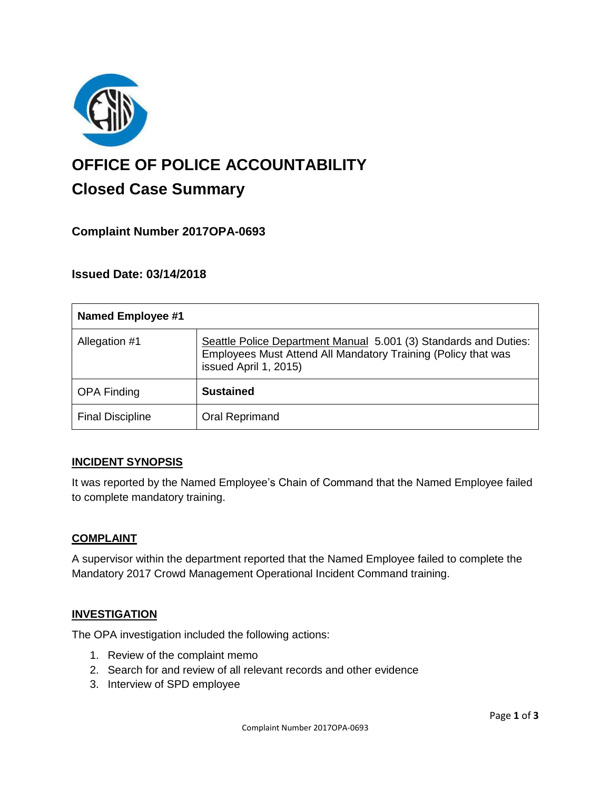

# **OFFICE OF POLICE ACCOUNTABILITY**

# **Closed Case Summary**

# **Complaint Number 2017OPA-0693**

# **Issued Date: 03/14/2018**

| <b>Named Employee #1</b> |                                                                                                                                                            |
|--------------------------|------------------------------------------------------------------------------------------------------------------------------------------------------------|
| Allegation #1            | Seattle Police Department Manual 5.001 (3) Standards and Duties:<br>Employees Must Attend All Mandatory Training (Policy that was<br>issued April 1, 2015) |
| <b>OPA Finding</b>       | <b>Sustained</b>                                                                                                                                           |
| <b>Final Discipline</b>  | Oral Reprimand                                                                                                                                             |

# **INCIDENT SYNOPSIS**

It was reported by the Named Employee's Chain of Command that the Named Employee failed to complete mandatory training.

#### **COMPLAINT**

A supervisor within the department reported that the Named Employee failed to complete the Mandatory 2017 Crowd Management Operational Incident Command training.

# **INVESTIGATION**

The OPA investigation included the following actions:

- 1. Review of the complaint memo
- 2. Search for and review of all relevant records and other evidence
- 3. Interview of SPD employee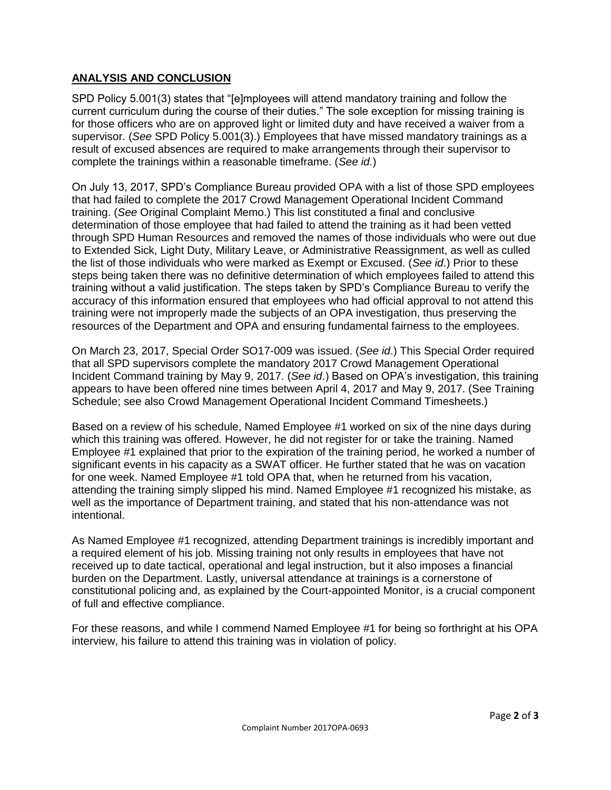## **ANALYSIS AND CONCLUSION**

SPD Policy 5.001(3) states that "[e]mployees will attend mandatory training and follow the current curriculum during the course of their duties." The sole exception for missing training is for those officers who are on approved light or limited duty and have received a waiver from a supervisor. (*See* SPD Policy 5.001(3).) Employees that have missed mandatory trainings as a result of excused absences are required to make arrangements through their supervisor to complete the trainings within a reasonable timeframe. (*See id.*)

On July 13, 2017, SPD's Compliance Bureau provided OPA with a list of those SPD employees that had failed to complete the 2017 Crowd Management Operational Incident Command training. (*See* Original Complaint Memo.) This list constituted a final and conclusive determination of those employee that had failed to attend the training as it had been vetted through SPD Human Resources and removed the names of those individuals who were out due to Extended Sick, Light Duty, Military Leave, or Administrative Reassignment, as well as culled the list of those individuals who were marked as Exempt or Excused. (*See id*.) Prior to these steps being taken there was no definitive determination of which employees failed to attend this training without a valid justification. The steps taken by SPD's Compliance Bureau to verify the accuracy of this information ensured that employees who had official approval to not attend this training were not improperly made the subjects of an OPA investigation, thus preserving the resources of the Department and OPA and ensuring fundamental fairness to the employees.

On March 23, 2017, Special Order SO17-009 was issued. (*See id*.) This Special Order required that all SPD supervisors complete the mandatory 2017 Crowd Management Operational Incident Command training by May 9, 2017. (*See id*.) Based on OPA's investigation, this training appears to have been offered nine times between April 4, 2017 and May 9, 2017. (See Training Schedule; see also Crowd Management Operational Incident Command Timesheets.)

Based on a review of his schedule, Named Employee #1 worked on six of the nine days during which this training was offered. However, he did not register for or take the training. Named Employee #1 explained that prior to the expiration of the training period, he worked a number of significant events in his capacity as a SWAT officer. He further stated that he was on vacation for one week. Named Employee #1 told OPA that, when he returned from his vacation, attending the training simply slipped his mind. Named Employee #1 recognized his mistake, as well as the importance of Department training, and stated that his non-attendance was not intentional.

As Named Employee #1 recognized, attending Department trainings is incredibly important and a required element of his job. Missing training not only results in employees that have not received up to date tactical, operational and legal instruction, but it also imposes a financial burden on the Department. Lastly, universal attendance at trainings is a cornerstone of constitutional policing and, as explained by the Court-appointed Monitor, is a crucial component of full and effective compliance.

For these reasons, and while I commend Named Employee #1 for being so forthright at his OPA interview, his failure to attend this training was in violation of policy.